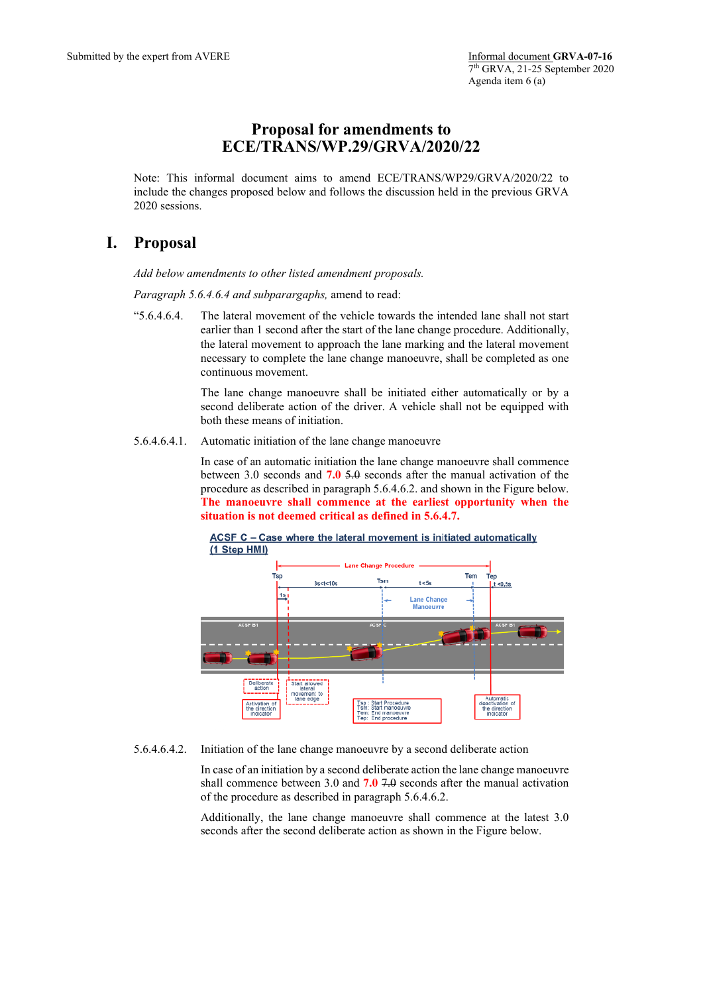## **Proposal for amendments to ECE/TRANS/WP.29/GRVA/2020/22**

Note: This informal document aims to amend ECE/TRANS/WP29/GRVA/2020/22 to include the changes proposed below and follows the discussion held in the previous GRVA 2020 sessions.

## **I. Proposal**

*Add below amendments to other listed amendment proposals.*

*Paragraph 5.6.4.6.4 and subparargaphs,* amend to read:

"5.6.4.6.4. The lateral movement of the vehicle towards the intended lane shall not start earlier than 1 second after the start of the lane change procedure. Additionally, the lateral movement to approach the lane marking and the lateral movement necessary to complete the lane change manoeuvre, shall be completed as one continuous movement.

> The lane change manoeuvre shall be initiated either automatically or by a second deliberate action of the driver. A vehicle shall not be equipped with both these means of initiation.

5.6.4.6.4.1. Automatic initiation of the lane change manoeuvre

In case of an automatic initiation the lane change manoeuvre shall commence between 3.0 seconds and **7.0** 5.0 seconds after the manual activation of the procedure as described in paragraph 5.6.4.6.2. and shown in the Figure below. **The manoeuvre shall commence at the earliest opportunity when the situation is not deemed critical as defined in 5.6.4.7.**



ACSF C - Case where the lateral movement is initiated automatically (1 Step HMI)

5.6.4.6.4.2. Initiation of the lane change manoeuvre by a second deliberate action

In case of an initiation by a second deliberate action the lane change manoeuvre shall commence between 3.0 and **7.0** 7.0 seconds after the manual activation of the procedure as described in paragraph 5.6.4.6.2.

Additionally, the lane change manoeuvre shall commence at the latest 3.0 seconds after the second deliberate action as shown in the Figure below.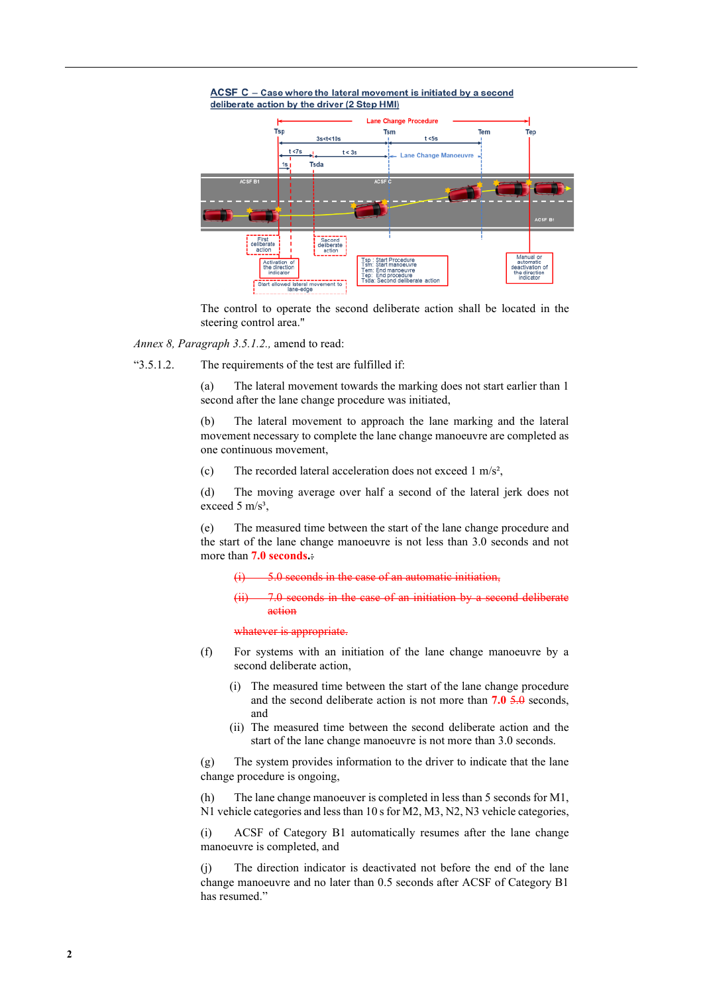



The control to operate the second deliberate action shall be located in the steering control area."

*Annex 8, Paragraph 3.5.1.2.,* amend to read:

"3.5.1.2. The requirements of the test are fulfilled if:

(a) The lateral movement towards the marking does not start earlier than 1 second after the lane change procedure was initiated,

(b) The lateral movement to approach the lane marking and the lateral movement necessary to complete the lane change manoeuvre are completed as one continuous movement,

(c) The recorded lateral acceleration does not exceed 1 m/s²,

(d) The moving average over half a second of the lateral jerk does not exceed 5  $m/s<sup>3</sup>$ ,

(e) The measured time between the start of the lane change procedure and the start of the lane change manoeuvre is not less than 3.0 seconds and not more than **7.0 seconds.**:

5.0 seconds in the case of an automatic initiation.

 $7.0$  seconds in the case of an initiation by action

whatever is appropriate.

- (f) For systems with an initiation of the lane change manoeuvre by a second deliberate action,
	- (i) The measured time between the start of the lane change procedure and the second deliberate action is not more than **7.0** 5.0 seconds, and
	- (ii) The measured time between the second deliberate action and the start of the lane change manoeuvre is not more than 3.0 seconds.

(g) The system provides information to the driver to indicate that the lane change procedure is ongoing,

(h) The lane change manoeuver is completed in less than 5 seconds for M1, N1 vehicle categories and less than 10 s for M2, M3, N2, N3 vehicle categories,

(i) ACSF of Category B1 automatically resumes after the lane change manoeuvre is completed, and

(j) The direction indicator is deactivated not before the end of the lane change manoeuvre and no later than 0.5 seconds after ACSF of Category B1 has resumed."